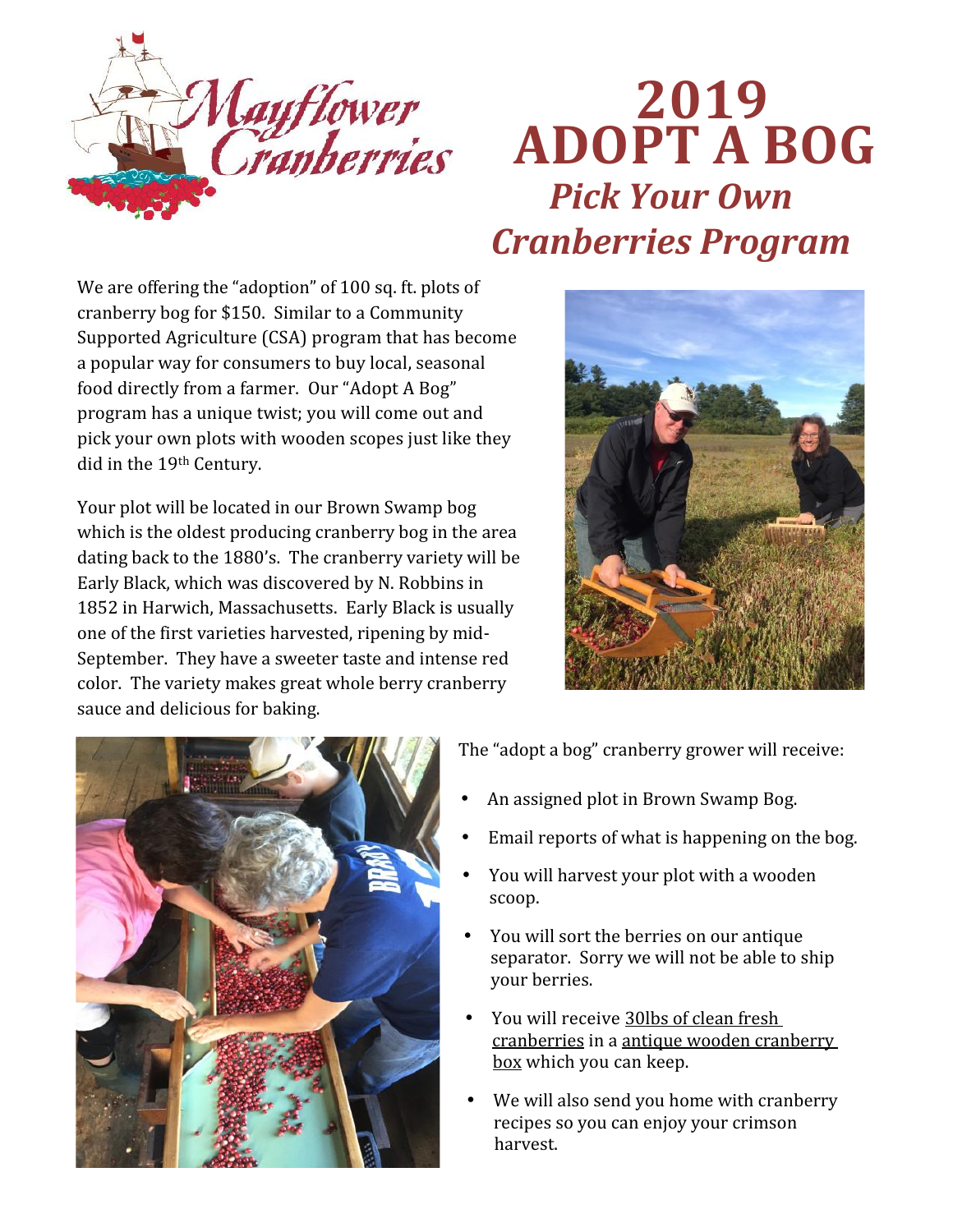

## **2019 ADOPT A BOG** *Pick Your Own Cranberries Program*

We are offering the "adoption" of 100 sq. ft. plots of cranberry bog for \$150. Similar to a Community Supported Agriculture (CSA) program that has become a popular way for consumers to buy local, seasonal food directly from a farmer. Our "Adopt A Bog" program has a unique twist; you will come out and pick your own plots with wooden scopes just like they did in the 19th Century.

Your plot will be located in our Brown Swamp bog which is the oldest producing cranberry bog in the area dating back to the 1880's. The cranberry variety will be Early Black, which was discovered by N. Robbins in 1852 in Harwich, Massachusetts. Early Black is usually one of the first varieties harvested, ripening by mid- September. They have a sweeter taste and intense red color. The variety makes great whole berry cranberry sauce and delicious for baking.





The "adopt a bog" cranberry grower will receive:

- An assigned plot in Brown Swamp Bog.
- Email reports of what is happening on the bog.
- You will harvest your plot with a wooden scoop.
- You will sort the berries on our antique separator. Sorry we will not be able to ship your berries.
- You will receive 30lbs of clean fresh cranberries in a antique wooden cranberry box which you can keep.
- We will also send you home with cranberry recipes so you can enjoy your crimson harvest.